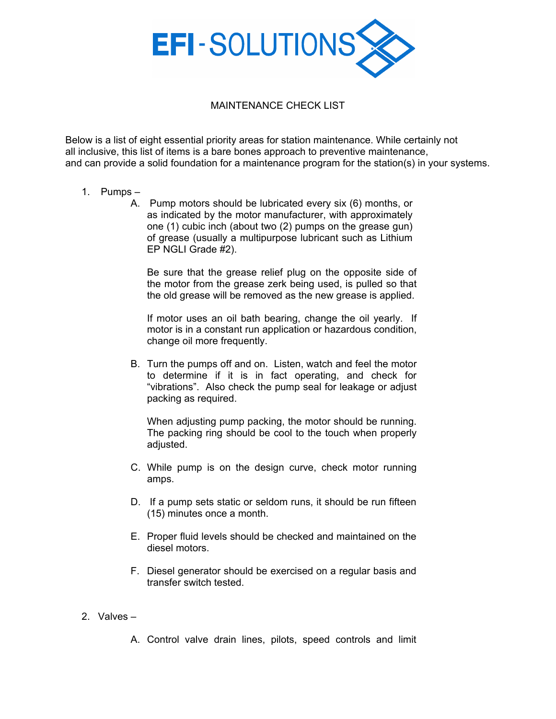

## MAINTENANCE CHECK LIST

Below is a list of eight essential priority areas for station maintenance. While certainly not all inclusive, this list of items is a bare bones approach to preventive maintenance, and can provide a solid foundation for a maintenance program for the station(s) in your systems.

- 1. Pumps
	- A. Pump motors should be lubricated every six (6) months, or as indicated by the motor manufacturer, with approximately one (1) cubic inch (about two (2) pumps on the grease gun) of grease (usually a multipurpose lubricant such as Lithium EP NGLI Grade #2).

Be sure that the grease relief plug on the opposite side of the motor from the grease zerk being used, is pulled so that the old grease will be removed as the new grease is applied.

If motor uses an oil bath bearing, change the oil yearly. If motor is in a constant run application or hazardous condition, change oil more frequently.

B. Turn the pumps off and on. Listen, watch and feel the motor to determine if it is in fact operating, and check for "vibrations". Also check the pump seal for leakage or adjust packing as required.

When adjusting pump packing, the motor should be running. The packing ring should be cool to the touch when properly adjusted.

- C. While pump is on the design curve, check motor running amps.
- D. If a pump sets static or seldom runs, it should be run fifteen (15) minutes once a month.
- E. Proper fluid levels should be checked and maintained on the diesel motors.
- F. Diesel generator should be exercised on a regular basis and transfer switch tested.
- 2. Valves –

A. Control valve drain lines, pilots, speed controls and limit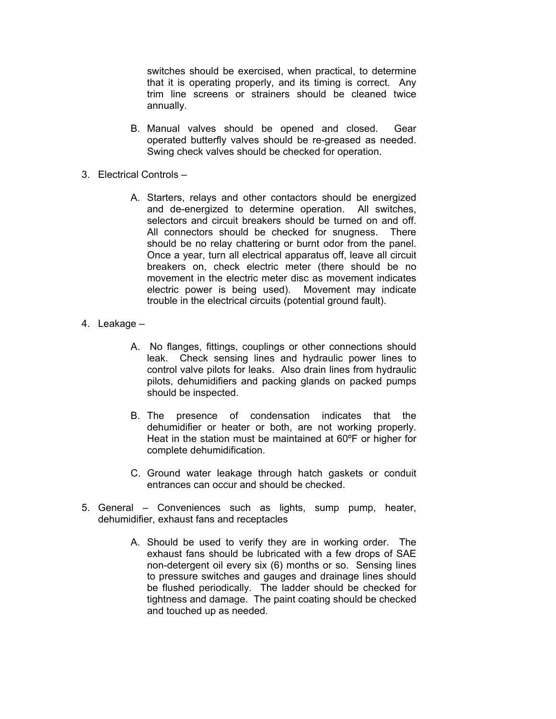switches should be exercised, when practical, to determine that it is operating properly, and its timing is correct. Any trim line screens or strainers should be cleaned twice annually.

- B. Manual valves should be opened and closed. Gear operated butterfly valves should be re-greased as needed. Swing check valves should be checked for operation.
- 3. Electrical Controls
	- A. Starters, relays and other contactors should be energized and de-energized to determine operation. All switches, selectors and circuit breakers should be turned on and off. All connectors should be checked for snugness. There should be no relay chattering or burnt odor from the panel. Once a year, turn all electrical apparatus off, leave all circuit breakers on, check electric meter (there should be no movement in the electric meter disc as movement indicates electric power is being used). Movement may indicate trouble in the electrical circuits (potential ground fault).
- 4. Leakage
	- A. No flanges, fittings, couplings or other connections should leak. Check sensing lines and hydraulic power lines to control valve pilots for leaks. Also drain lines from hydraulic pilots, dehumidifiers and packing glands on packed pumps should be inspected.
	- B. The presence of condensation indicates that the dehumidifier or heater or both, are not working properly. Heat in the station must be maintained at 60ºF or higher for complete dehumidification.
	- C. Ground water leakage through hatch gaskets or conduit entrances can occur and should be checked.
- 5. General Conveniences such as lights, sump pump, heater, dehumidifier, exhaust fans and receptacles
	- A. Should be used to verify they are in working order. The exhaust fans should be lubricated with a few drops of SAE non-detergent oil every six (6) months or so. Sensing lines to pressure switches and gauges and drainage lines should be flushed periodically. The ladder should be checked for tightness and damage. The paint coating should be checked and touched up as needed.